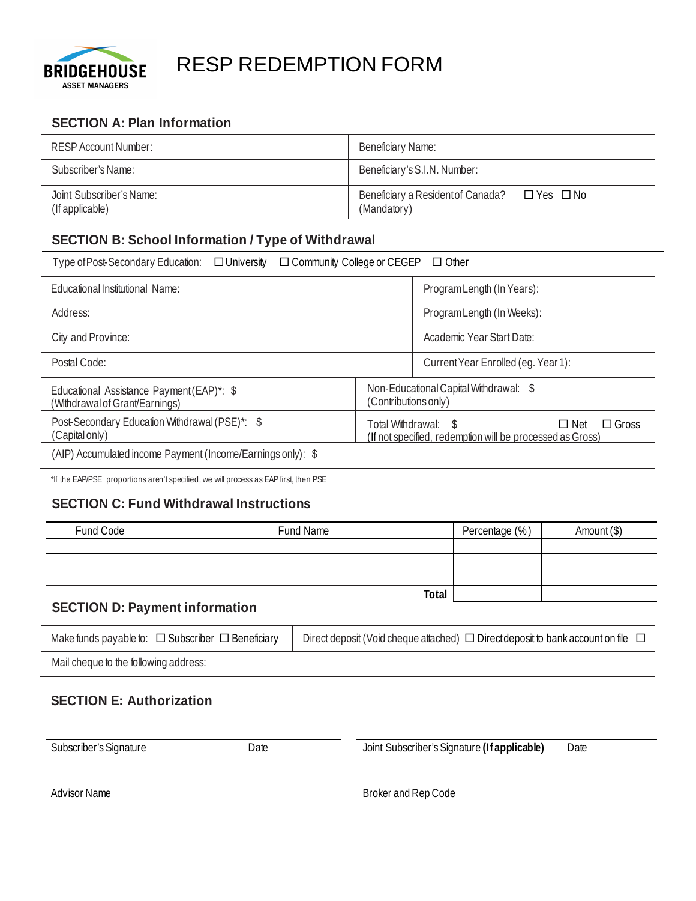

# RESP REDEMPTION FORM

# **SECTION A: Plan Information**

| RESP Account Number:                        | <b>Beneficiary Name:</b>                                       |
|---------------------------------------------|----------------------------------------------------------------|
| Subscriber's Name:                          | Beneficiary's S.I.N. Number:                                   |
| Joint Subscriber's Name:<br>(If applicable) | Beneficiary a Resident of Canada?<br>□ Yes □ No<br>(Mandatory) |

# **SECTION B: School Information / Type of Withdrawal**

| Type of Post-Secondary Education:<br>$\Box$ Community College or CEGEP $\Box$ Other<br>$\Box$ University |                                                                                                                 |                                        |  |  |
|----------------------------------------------------------------------------------------------------------|-----------------------------------------------------------------------------------------------------------------|----------------------------------------|--|--|
| Educational Institutional Name:                                                                          |                                                                                                                 | Program Length (In Years):             |  |  |
| Address:                                                                                                 |                                                                                                                 | Program Length (In Weeks):             |  |  |
| City and Province:                                                                                       |                                                                                                                 | Academic Year Start Date:              |  |  |
| Postal Code:                                                                                             |                                                                                                                 | Current Year Enrolled (eg. Year 1):    |  |  |
| Educational Assistance Payment (EAP)*: \$<br>(Contributions only)<br>(Withdrawal of Grant/Earnings)      |                                                                                                                 | Non-Educational Capital Withdrawal: \$ |  |  |
| Post-Secondary Education Withdrawal (PSE)*: \$<br>(Capital only)                                         | Total Withdrawal: \$<br>$\Box$ Gross<br>$\Box$ Net<br>(If not specified, redemption will be processed as Gross) |                                        |  |  |
| (AIP) Accumulated income Payment (Income/Earnings only): \$                                              |                                                                                                                 |                                        |  |  |

\*If the EAP/PSE proportions aren't specified, we will process as EAP first, then PSE

## **SECTION C: Fund Withdrawal Instructions**

| Fund Code | Fund Name | Percentage (%) | Amount (\$) |
|-----------|-----------|----------------|-------------|
|           |           |                |             |
|           |           |                |             |
|           |           |                |             |
|           | Total     |                |             |

## **SECTION D: Payment information**

| Make funds payable to: $\Box$ Subscriber $\Box$ Beneficiary | Direct deposit (Void cheque attached) $\Box$ Direct deposit to bank account on file |
|-------------------------------------------------------------|-------------------------------------------------------------------------------------|
|-------------------------------------------------------------|-------------------------------------------------------------------------------------|

Mail cheque to the following address:

## **SECTION E: Authorization**

Subscriber's Signature Date Joint Subscriber's Signature **(If applicable)** Date

Advisor Name Broker and Rep Code